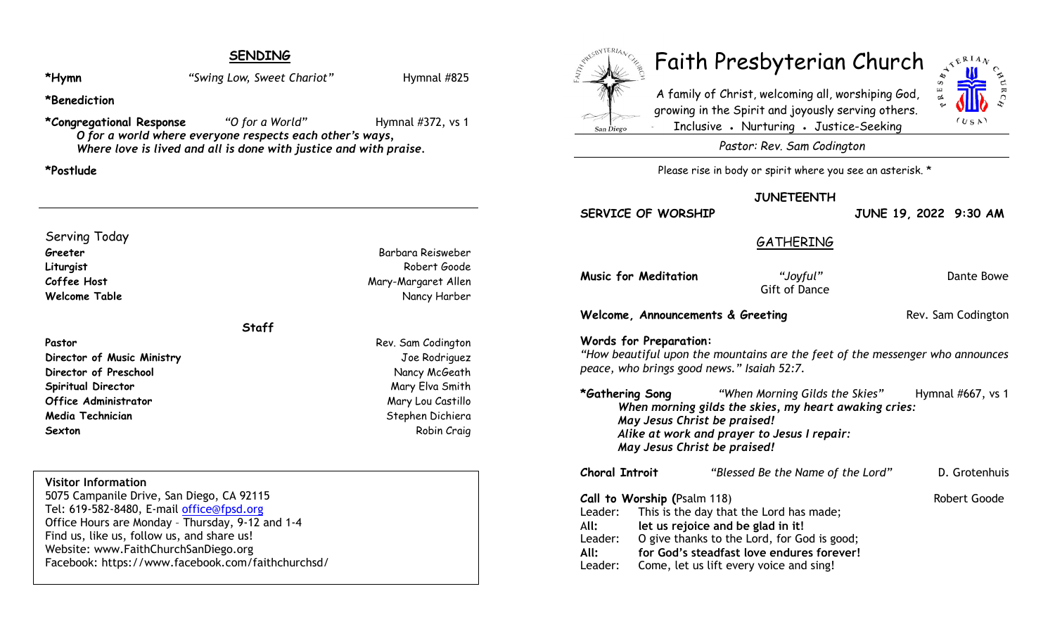### **SENDING**

**\*Hymn** *"Swing Low, Sweet Chariot"* Hymnal #825

### **\*Benediction**

\*Congregational Response *"O for a World"* Hymnal #372, vs 1

 *O for a world where everyone respects each other's ways, Where love is lived and all is done with justice and with praise.*

### **\*Postlude**



## Faith Presbyterian Church

A family of Christ, welcoming all, worshiping God, growing in the Spirit and joyously serving others. Inclusive • Nurturing • Justice-Seeking



*Pastor: Rev. Sam Codington*

Please rise in body or spirit where you see an asterisk. \*

### **JUNETEENTH**

**SERVICE OF WORSHIP JUNE 19, 2022 9:30 AM**

### GATHERING

**Music for Meditation** *"Joyful"* Dante Bowe

Gift of Dance

### **Welcome, Announcements & Greeting Rev. Sam Codington**

### **Words for Preparation:**

*"How beautiful upon the mountains are the feet of the messenger who announces peace, who brings good news." Isaiah 52:7.*

|                              | *Gathering Song                                       | "When Morning Gilds the Skies"   | Hymnal $#667$ , vs 1 |  |  |
|------------------------------|-------------------------------------------------------|----------------------------------|----------------------|--|--|
|                              | When morning gilds the skies, my heart awaking cries: |                                  |                      |  |  |
| May Jesus Christ be praised! |                                                       |                                  |                      |  |  |
|                              | Alike at work and prayer to Jesus I repair:           |                                  |                      |  |  |
| May Jesus Christ be praised! |                                                       |                                  |                      |  |  |
|                              | Absaal Tatasit                                        | (Dlecend Dothe None of the line. | D. Cratanbuis        |  |  |

### **Choral Introit** *"Blessed Be the Name of the Lord"* D. Grotenhuis **Call to Worship (Psalm 118) Robert Goode** Robert Goode Leader: This is the day that the Lord has made;

- A**ll: let us rejoice and be glad in it!**
- Leader: O give thanks to the Lord, for God is good;
- **All: for God's steadfast love endures forever!**
- Leader: Come, let us lift every voice and sing!

# Serving Today

### **Staff**

Pastor **Pastor** Rev. Sam Codington **Director of Music Ministry** Joe Rodriguez **Director of Preschool** Nancy McGeath **Spiritual Director** Mary Elva Smith **Office Administrator** Mary Lou Castillo **Media Technician** Stephen Dichiera and Stephen Dichiera **Sexton** Robin Craig **Robin Craig** 

### **Visitor Information**

5075 Campanile Drive, San Diego, CA 92115 Tel: 619-582-8480, E-mail office@fpsd.org Office Hours are Monday – Thursday, 9-12 and 1-4 Find us, like us, follow us, and share us! Website: www.FaithChurchSanDiego.org Facebook: https://www.facebook.com/faithchurchsd/

### **Greeter** Barbara Reisweber **Liturgist** Robert Goode **Coffee Host** Mary-Margaret Allen **Welcome Table** Nancy Harber Nancy Harber